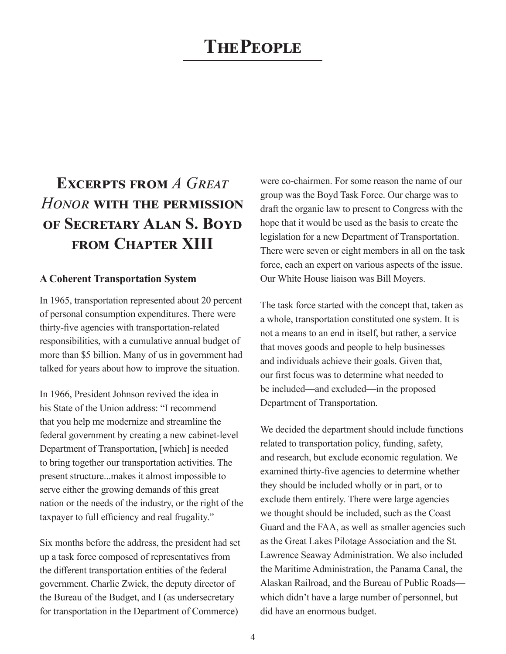# **The People**

# **EXCERPTS FROM A GREAT** *Honor* **with the permission of Secretary Alan S. Boyd from Chapter XIII**

#### **A Coherent Transportation System**

In 1965, transportation represented about 20 percent of personal consumption expenditures. There were thirty-five agencies with transportation-related responsibilities, with a cumulative annual budget of more than \$5 billion. Many of us in government had talked for years about how to improve the situation.

In 1966, President Johnson revived the idea in his State of the Union address: "I recommend that you help me modernize and streamline the federal government by creating a new cabinet-level Department of Transportation, [which] is needed to bring together our transportation activities. The present structure...makes it almost impossible to serve either the growing demands of this great nation or the needs of the industry, or the right of the taxpayer to full efficiency and real frugality."

Six months before the address, the president had set up a task force composed of representatives from the different transportation entities of the federal government. Charlie Zwick, the deputy director of the Bureau of the Budget, and I (as undersecretary for transportation in the Department of Commerce)

were co-chairmen. For some reason the name of our group was the Boyd Task Force. Our charge was to draft the organic law to present to Congress with the hope that it would be used as the basis to create the legislation for a new Department of Transportation. There were seven or eight members in all on the task force, each an expert on various aspects of the issue. Our White House liaison was Bill Moyers.

The task force started with the concept that, taken as a whole, transportation constituted one system. It is not a means to an end in itself, but rather, a service that moves goods and people to help businesses and individuals achieve their goals. Given that, our first focus was to determine what needed to be included—and excluded—in the proposed Department of Transportation.

We decided the department should include functions related to transportation policy, funding, safety, and research, but exclude economic regulation. We examined thirty-five agencies to determine whether they should be included wholly or in part, or to exclude them entirely. There were large agencies we thought should be included, such as the Coast Guard and the FAA, as well as smaller agencies such as the Great Lakes Pilotage Association and the St. Lawrence Seaway Administration. We also included the Maritime Administration, the Panama Canal, the Alaskan Railroad, and the Bureau of Public Roads which didn't have a large number of personnel, but did have an enormous budget.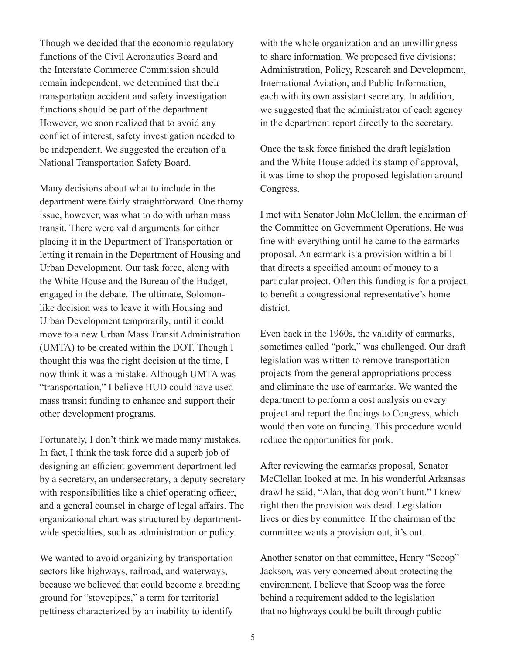Though we decided that the economic regulatory functions of the Civil Aeronautics Board and the Interstate Commerce Commission should remain independent, we determined that their transportation accident and safety investigation functions should be part of the department. However, we soon realized that to avoid any conflict of interest, safety investigation needed to be independent. We suggested the creation of a National Transportation Safety Board.

Many decisions about what to include in the department were fairly straightforward. One thorny issue, however, was what to do with urban mass transit. There were valid arguments for either placing it in the Department of Transportation or letting it remain in the Department of Housing and Urban Development. Our task force, along with the White House and the Bureau of the Budget, engaged in the debate. The ultimate, Solomonlike decision was to leave it with Housing and Urban Development temporarily, until it could move to a new Urban Mass Transit Administration (UMTA) to be created within the DOT. Though I thought this was the right decision at the time, I now think it was a mistake. Although UMTA was "transportation," I believe HUD could have used mass transit funding to enhance and support their other development programs.

Fortunately, I don't think we made many mistakes. In fact, I think the task force did a superb job of designing an efficient government department led by a secretary, an undersecretary, a deputy secretary with responsibilities like a chief operating officer, and a general counsel in charge of legal affairs. The organizational chart was structured by departmentwide specialties, such as administration or policy.

We wanted to avoid organizing by transportation sectors like highways, railroad, and waterways, because we believed that could become a breeding ground for "stovepipes," a term for territorial pettiness characterized by an inability to identify

with the whole organization and an unwillingness to share information. We proposed five divisions: Administration, Policy, Research and Development, International Aviation, and Public Information, each with its own assistant secretary. In addition, we suggested that the administrator of each agency in the department report directly to the secretary.

Once the task force finished the draft legislation and the White House added its stamp of approval, it was time to shop the proposed legislation around Congress.

I met with Senator John McClellan, the chairman of the Committee on Government Operations. He was fine with everything until he came to the earmarks proposal. An earmark is a provision within a bill that directs a specified amount of money to a particular project. Often this funding is for a project to benefit a congressional representative's home district.

Even back in the 1960s, the validity of earmarks, sometimes called "pork," was challenged. Our draft legislation was written to remove transportation projects from the general appropriations process and eliminate the use of earmarks. We wanted the department to perform a cost analysis on every project and report the findings to Congress, which would then vote on funding. This procedure would reduce the opportunities for pork.

After reviewing the earmarks proposal, Senator McClellan looked at me. In his wonderful Arkansas drawl he said, "Alan, that dog won't hunt." I knew right then the provision was dead. Legislation lives or dies by committee. If the chairman of the committee wants a provision out, it's out.

Another senator on that committee, Henry "Scoop" Jackson, was very concerned about protecting the environment. I believe that Scoop was the force behind a requirement added to the legislation that no highways could be built through public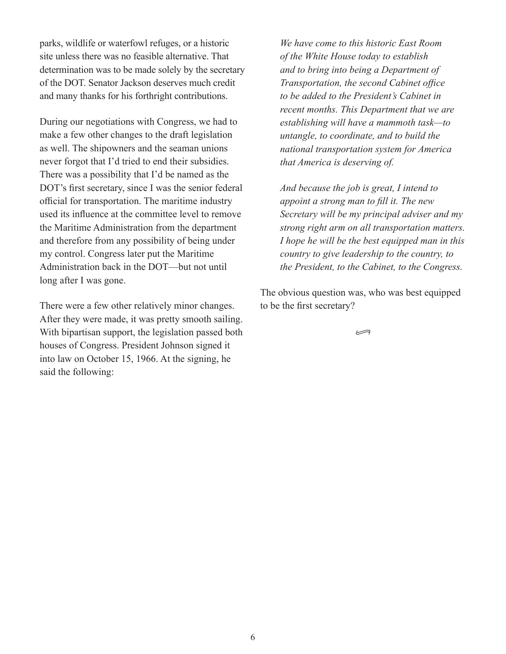parks, wildlife or waterfowl refuges, or a historic site unless there was no feasible alternative. That determination was to be made solely by the secretary of the DOT. Senator Jackson deserves much credit and many thanks for his forthright contributions.

During our negotiations with Congress, we had to make a few other changes to the draft legislation as well. The shipowners and the seaman unions never forgot that I'd tried to end their subsidies. There was a possibility that I'd be named as the DOT's first secretary, since I was the senior federal official for transportation. The maritime industry used its influence at the committee level to remove the Maritime Administration from the department and therefore from any possibility of being under my control. Congress later put the Maritime Administration back in the DOT—but not until long after I was gone.

There were a few other relatively minor changes. After they were made, it was pretty smooth sailing. With bipartisan support, the legislation passed both houses of Congress. President Johnson signed it into law on October 15, 1966. At the signing, he said the following:

*We have come to this historic East Room of the White House today to establish and to bring into being a Department of Transportation, the second Cabinet office to be added to the President's Cabinet in recent months. This Department that we are establishing will have a mammoth task—to untangle, to coordinate, and to build the national transportation system for America that America is deserving of.*

*And because the job is great, I intend to appoint a strong man to fill it. The new Secretary will be my principal adviser and my strong right arm on all transportation matters. I hope he will be the best equipped man in this country to give leadership to the country, to the President, to the Cabinet, to the Congress.*

The obvious question was, who was best equipped to be the first secretary?

•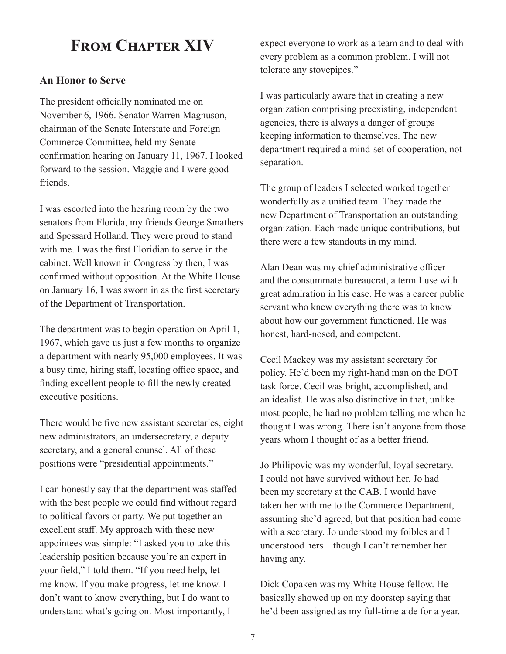### **From Chapter XIV**

#### **An Honor to Serve**

The president officially nominated me on November 6, 1966. Senator Warren Magnuson, chairman of the Senate Interstate and Foreign Commerce Committee, held my Senate confirmation hearing on January 11, 1967. I looked forward to the session. Maggie and I were good friends.

I was escorted into the hearing room by the two senators from Florida, my friends George Smathers and Spessard Holland. They were proud to stand with me. I was the first Floridian to serve in the cabinet. Well known in Congress by then, I was confirmed without opposition. At the White House on January 16, I was sworn in as the first secretary of the Department of Transportation.

The department was to begin operation on April 1, 1967, which gave us just a few months to organize a department with nearly 95,000 employees. It was a busy time, hiring staff, locating office space, and finding excellent people to fill the newly created executive positions.

There would be five new assistant secretaries, eight new administrators, an undersecretary, a deputy secretary, and a general counsel. All of these positions were "presidential appointments."

I can honestly say that the department was staffed with the best people we could find without regard to political favors or party. We put together an excellent staff. My approach with these new appointees was simple: "I asked you to take this leadership position because you're an expert in your field," I told them. "If you need help, let me know. If you make progress, let me know. I don't want to know everything, but I do want to understand what's going on. Most importantly, I

expect everyone to work as a team and to deal with every problem as a common problem. I will not tolerate any stovepipes."

I was particularly aware that in creating a new organization comprising preexisting, independent agencies, there is always a danger of groups keeping information to themselves. The new department required a mind-set of cooperation, not separation.

The group of leaders I selected worked together wonderfully as a unified team. They made the new Department of Transportation an outstanding organization. Each made unique contributions, but there were a few standouts in my mind.

Alan Dean was my chief administrative officer and the consummate bureaucrat, a term I use with great admiration in his case. He was a career public servant who knew everything there was to know about how our government functioned. He was honest, hard-nosed, and competent.

Cecil Mackey was my assistant secretary for policy. He'd been my right-hand man on the DOT task force. Cecil was bright, accomplished, and an idealist. He was also distinctive in that, unlike most people, he had no problem telling me when he thought I was wrong. There isn't anyone from those years whom I thought of as a better friend.

Jo Philipovic was my wonderful, loyal secretary. I could not have survived without her. Jo had been my secretary at the CAB. I would have taken her with me to the Commerce Department, assuming she'd agreed, but that position had come with a secretary. Jo understood my foibles and I understood hers—though I can't remember her having any.

Dick Copaken was my White House fellow. He basically showed up on my doorstep saying that he'd been assigned as my full-time aide for a year.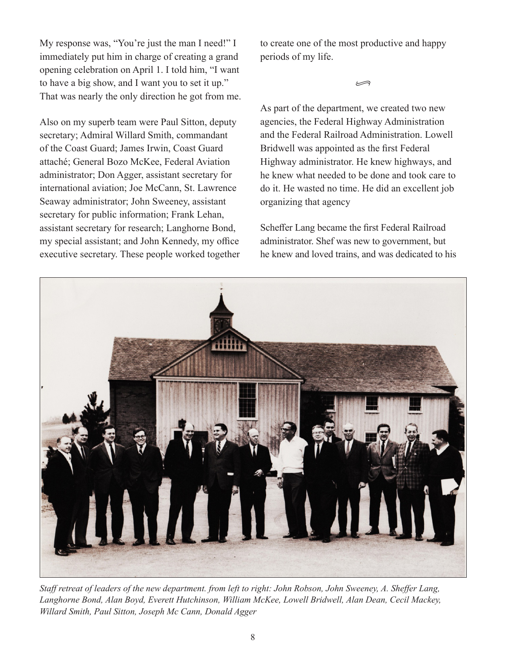My response was, "You're just the man I need!" I immediately put him in charge of creating a grand opening celebration on April 1. I told him, "I want to have a big show, and I want you to set it up." That was nearly the only direction he got from me.

Also on my superb team were Paul Sitton, deputy secretary; Admiral Willard Smith, commandant of the Coast Guard; James Irwin, Coast Guard attaché; General Bozo McKee, Federal Aviation administrator; Don Agger, assistant secretary for international aviation; Joe McCann, St. Lawrence Seaway administrator; John Sweeney, assistant secretary for public information; Frank Lehan, assistant secretary for research; Langhorne Bond, my special assistant; and John Kennedy, my office executive secretary. These people worked together to create one of the most productive and happy periods of my life.

•

As part of the department, we created two new agencies, the Federal Highway Administration and the Federal Railroad Administration. Lowell Bridwell was appointed as the first Federal Highway administrator. He knew highways, and he knew what needed to be done and took care to do it. He wasted no time. He did an excellent job organizing that agency

Scheffer Lang became the first Federal Railroad administrator. Shef was new to government, but he knew and loved trains, and was dedicated to his



*Staff retreat of leaders of the new department. from left to right: John Robson, John Sweeney, A. Sheffer Lang, Langhorne Bond, Alan Boyd, Everett Hutchinson, William McKee, Lowell Bridwell, Alan Dean, Cecil Mackey, Willard Smith, Paul Sitton, Joseph Mc Cann, Donald Agger*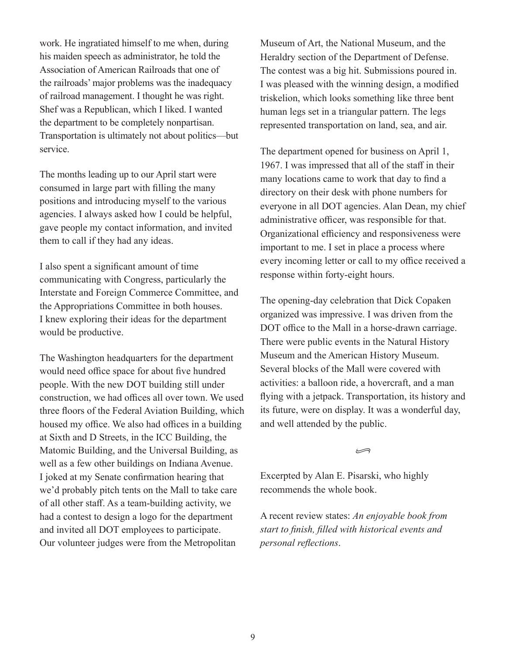work. He ingratiated himself to me when, during his maiden speech as administrator, he told the Association of American Railroads that one of the railroads' major problems was the inadequacy of railroad management. I thought he was right. Shef was a Republican, which I liked. I wanted the department to be completely nonpartisan. Transportation is ultimately not about politics—but service.

The months leading up to our April start were consumed in large part with filling the many positions and introducing myself to the various agencies. I always asked how I could be helpful, gave people my contact information, and invited them to call if they had any ideas.

I also spent a significant amount of time communicating with Congress, particularly the Interstate and Foreign Commerce Committee, and the Appropriations Committee in both houses. I knew exploring their ideas for the department would be productive.

The Washington headquarters for the department would need office space for about five hundred people. With the new DOT building still under construction, we had offices all over town. We used three floors of the Federal Aviation Building, which housed my office. We also had offices in a building at Sixth and D Streets, in the ICC Building, the Matomic Building, and the Universal Building, as well as a few other buildings on Indiana Avenue. I joked at my Senate confirmation hearing that we'd probably pitch tents on the Mall to take care of all other staff. As a team-building activity, we had a contest to design a logo for the department and invited all DOT employees to participate. Our volunteer judges were from the Metropolitan

Museum of Art, the National Museum, and the Heraldry section of the Department of Defense. The contest was a big hit. Submissions poured in. I was pleased with the winning design, a modified triskelion, which looks something like three bent human legs set in a triangular pattern. The legs represented transportation on land, sea, and air.

The department opened for business on April 1, 1967. I was impressed that all of the staff in their many locations came to work that day to find a directory on their desk with phone numbers for everyone in all DOT agencies. Alan Dean, my chief administrative officer, was responsible for that. Organizational efficiency and responsiveness were important to me. I set in place a process where every incoming letter or call to my office received a response within forty-eight hours.

The opening-day celebration that Dick Copaken organized was impressive. I was driven from the DOT office to the Mall in a horse-drawn carriage. There were public events in the Natural History Museum and the American History Museum. Several blocks of the Mall were covered with activities: a balloon ride, a hovercraft, and a man flying with a jetpack. Transportation, its history and its future, were on display. It was a wonderful day, and well attended by the public.

•

Excerpted by Alan E. Pisarski, who highly recommends the whole book.

A recent review states: *An enjoyable book from start to finish, filled with historical events and personal reflections*.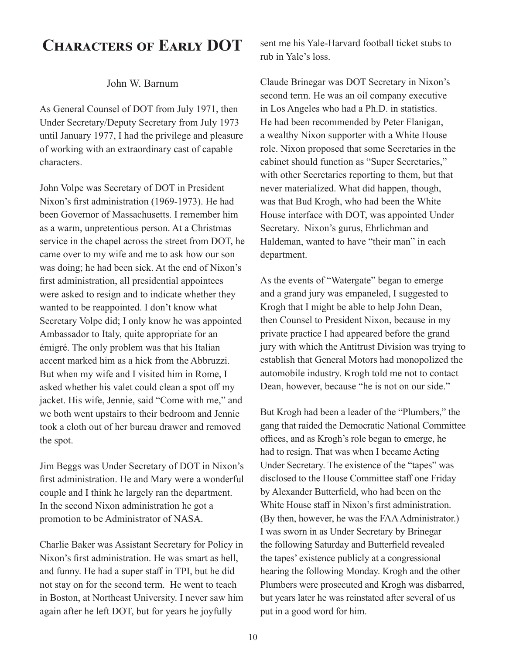### **Characters of Early DOT**

#### John W. Barnum

As General Counsel of DOT from July 1971, then Under Secretary/Deputy Secretary from July 1973 until January 1977, I had the privilege and pleasure of working with an extraordinary cast of capable characters.

John Volpe was Secretary of DOT in President Nixon's first administration (1969-1973). He had been Governor of Massachusetts. I remember him as a warm, unpretentious person. At a Christmas service in the chapel across the street from DOT, he came over to my wife and me to ask how our son was doing; he had been sick. At the end of Nixon's first administration, all presidential appointees were asked to resign and to indicate whether they wanted to be reappointed. I don't know what Secretary Volpe did; I only know he was appointed Ambassador to Italy, quite appropriate for an émigré. The only problem was that his Italian accent marked him as a hick from the Abbruzzi. But when my wife and I visited him in Rome, I asked whether his valet could clean a spot off my jacket. His wife, Jennie, said "Come with me," and we both went upstairs to their bedroom and Jennie took a cloth out of her bureau drawer and removed the spot.

Jim Beggs was Under Secretary of DOT in Nixon's first administration. He and Mary were a wonderful couple and I think he largely ran the department. In the second Nixon administration he got a promotion to be Administrator of NASA.

Charlie Baker was Assistant Secretary for Policy in Nixon's first administration. He was smart as hell, and funny. He had a super staff in TPI, but he did not stay on for the second term. He went to teach in Boston, at Northeast University. I never saw him again after he left DOT, but for years he joyfully

sent me his Yale-Harvard football ticket stubs to rub in Yale's loss.

Claude Brinegar was DOT Secretary in Nixon's second term. He was an oil company executive in Los Angeles who had a Ph.D. in statistics. He had been recommended by Peter Flanigan, a wealthy Nixon supporter with a White House role. Nixon proposed that some Secretaries in the cabinet should function as "Super Secretaries," with other Secretaries reporting to them, but that never materialized. What did happen, though, was that Bud Krogh, who had been the White House interface with DOT, was appointed Under Secretary. Nixon's gurus, Ehrlichman and Haldeman, wanted to have "their man" in each department.

As the events of "Watergate" began to emerge and a grand jury was empaneled, I suggested to Krogh that I might be able to help John Dean, then Counsel to President Nixon, because in my private practice I had appeared before the grand jury with which the Antitrust Division was trying to establish that General Motors had monopolized the automobile industry. Krogh told me not to contact Dean, however, because "he is not on our side."

But Krogh had been a leader of the "Plumbers," the gang that raided the Democratic National Committee offices, and as Krogh's role began to emerge, he had to resign. That was when I became Acting Under Secretary. The existence of the "tapes" was disclosed to the House Committee staff one Friday by Alexander Butterfield, who had been on the White House staff in Nixon's first administration. (By then, however, he was the FAA Administrator.) I was sworn in as Under Secretary by Brinegar the following Saturday and Butterfield revealed the tapes' existence publicly at a congressional hearing the following Monday. Krogh and the other Plumbers were prosecuted and Krogh was disbarred, but years later he was reinstated after several of us put in a good word for him.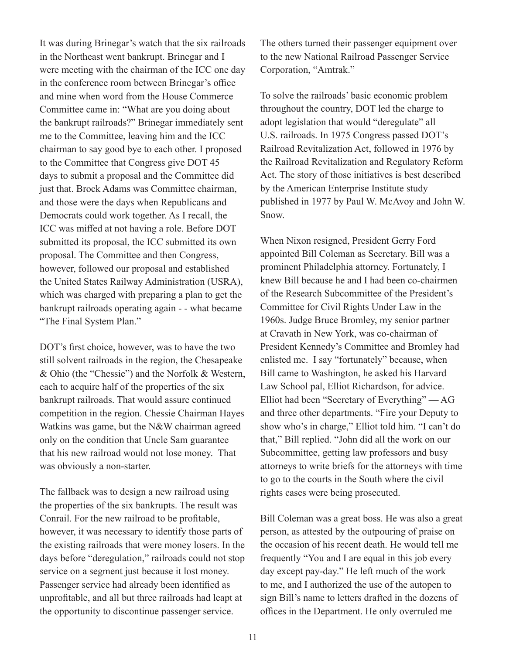It was during Brinegar's watch that the six railroads in the Northeast went bankrupt. Brinegar and I were meeting with the chairman of the ICC one day in the conference room between Brinegar's office and mine when word from the House Commerce Committee came in: "What are you doing about the bankrupt railroads?" Brinegar immediately sent me to the Committee, leaving him and the ICC chairman to say good bye to each other. I proposed to the Committee that Congress give DOT 45 days to submit a proposal and the Committee did just that. Brock Adams was Committee chairman, and those were the days when Republicans and Democrats could work together. As I recall, the ICC was miffed at not having a role. Before DOT submitted its proposal, the ICC submitted its own proposal. The Committee and then Congress, however, followed our proposal and established the United States Railway Administration (USRA), which was charged with preparing a plan to get the bankrupt railroads operating again - - what became "The Final System Plan."

DOT's first choice, however, was to have the two still solvent railroads in the region, the Chesapeake & Ohio (the "Chessie") and the Norfolk & Western, each to acquire half of the properties of the six bankrupt railroads. That would assure continued competition in the region. Chessie Chairman Hayes Watkins was game, but the N&W chairman agreed only on the condition that Uncle Sam guarantee that his new railroad would not lose money. That was obviously a non-starter.

The fallback was to design a new railroad using the properties of the six bankrupts. The result was Conrail. For the new railroad to be profitable, however, it was necessary to identify those parts of the existing railroads that were money losers. In the days before "deregulation," railroads could not stop service on a segment just because it lost money. Passenger service had already been identified as unprofitable, and all but three railroads had leapt at the opportunity to discontinue passenger service.

The others turned their passenger equipment over to the new National Railroad Passenger Service Corporation, "Amtrak."

To solve the railroads' basic economic problem throughout the country, DOT led the charge to adopt legislation that would "deregulate" all U.S. railroads. In 1975 Congress passed DOT's Railroad Revitalization Act, followed in 1976 by the Railroad Revitalization and Regulatory Reform Act. The story of those initiatives is best described by the American Enterprise Institute study published in 1977 by Paul W. McAvoy and John W. Snow.

When Nixon resigned, President Gerry Ford appointed Bill Coleman as Secretary. Bill was a prominent Philadelphia attorney. Fortunately, I knew Bill because he and I had been co-chairmen of the Research Subcommittee of the President's Committee for Civil Rights Under Law in the 1960s. Judge Bruce Bromley, my senior partner at Cravath in New York, was co-chairman of President Kennedy's Committee and Bromley had enlisted me. I say "fortunately" because, when Bill came to Washington, he asked his Harvard Law School pal, Elliot Richardson, for advice. Elliot had been "Secretary of Everything" — AG and three other departments. "Fire your Deputy to show who's in charge," Elliot told him. "I can't do that," Bill replied. "John did all the work on our Subcommittee, getting law professors and busy attorneys to write briefs for the attorneys with time to go to the courts in the South where the civil rights cases were being prosecuted.

Bill Coleman was a great boss. He was also a great person, as attested by the outpouring of praise on the occasion of his recent death. He would tell me frequently "You and I are equal in this job every day except pay-day." He left much of the work to me, and I authorized the use of the autopen to sign Bill's name to letters drafted in the dozens of offices in the Department. He only overruled me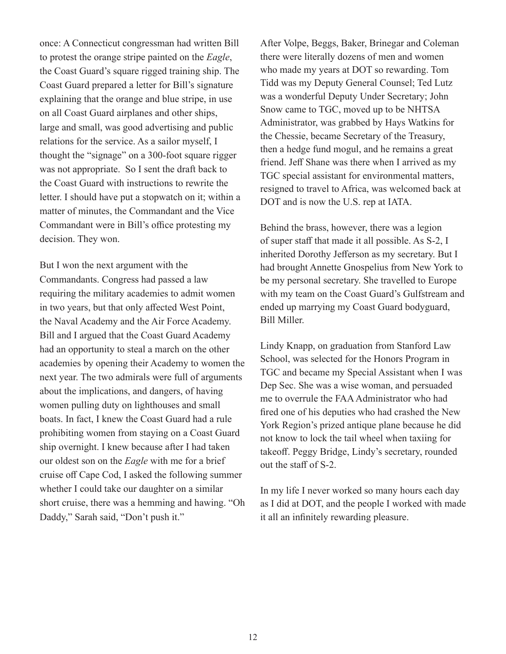once: A Connecticut congressman had written Bill to protest the orange stripe painted on the *Eagle*, the Coast Guard's square rigged training ship. The Coast Guard prepared a letter for Bill's signature explaining that the orange and blue stripe, in use on all Coast Guard airplanes and other ships, large and small, was good advertising and public relations for the service. As a sailor myself, I thought the "signage" on a 300-foot square rigger was not appropriate. So I sent the draft back to the Coast Guard with instructions to rewrite the letter. I should have put a stopwatch on it; within a matter of minutes, the Commandant and the Vice Commandant were in Bill's office protesting my decision. They won.

But I won the next argument with the Commandants. Congress had passed a law requiring the military academies to admit women in two years, but that only affected West Point, the Naval Academy and the Air Force Academy. Bill and I argued that the Coast Guard Academy had an opportunity to steal a march on the other academies by opening their Academy to women the next year. The two admirals were full of arguments about the implications, and dangers, of having women pulling duty on lighthouses and small boats. In fact, I knew the Coast Guard had a rule prohibiting women from staying on a Coast Guard ship overnight. I knew because after I had taken our oldest son on the *Eagle* with me for a brief cruise off Cape Cod, I asked the following summer whether I could take our daughter on a similar short cruise, there was a hemming and hawing. "Oh Daddy," Sarah said, "Don't push it."

After Volpe, Beggs, Baker, Brinegar and Coleman there were literally dozens of men and women who made my years at DOT so rewarding. Tom Tidd was my Deputy General Counsel; Ted Lutz was a wonderful Deputy Under Secretary; John Snow came to TGC, moved up to be NHTSA Administrator, was grabbed by Hays Watkins for the Chessie, became Secretary of the Treasury, then a hedge fund mogul, and he remains a great friend. Jeff Shane was there when I arrived as my TGC special assistant for environmental matters, resigned to travel to Africa, was welcomed back at DOT and is now the U.S. rep at IATA.

Behind the brass, however, there was a legion of super staff that made it all possible. As S-2, I inherited Dorothy Jefferson as my secretary. But I had brought Annette Gnospelius from New York to be my personal secretary. She travelled to Europe with my team on the Coast Guard's Gulfstream and ended up marrying my Coast Guard bodyguard, Bill Miller.

Lindy Knapp, on graduation from Stanford Law School, was selected for the Honors Program in TGC and became my Special Assistant when I was Dep Sec. She was a wise woman, and persuaded me to overrule the FAA Administrator who had fired one of his deputies who had crashed the New York Region's prized antique plane because he did not know to lock the tail wheel when taxiing for takeoff. Peggy Bridge, Lindy's secretary, rounded out the staff of S-2.

In my life I never worked so many hours each day as I did at DOT, and the people I worked with made it all an infinitely rewarding pleasure.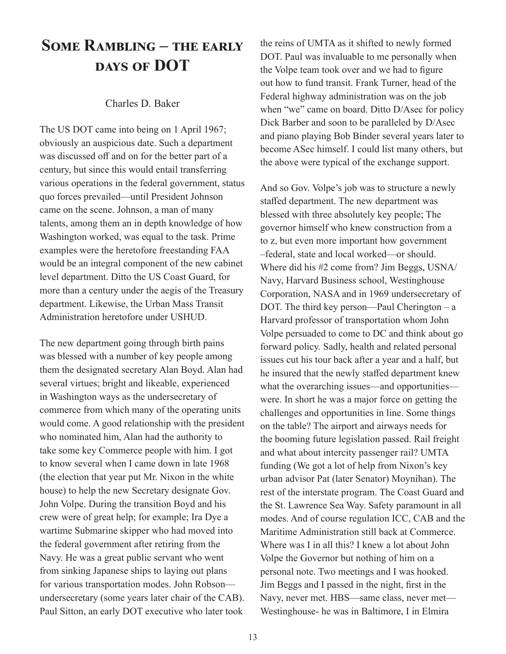### **Some Rambling – the early days of DOT**

#### Charles D. Baker

The US DOT came into being on 1 April 1967; obviously an auspicious date. Such a department was discussed off and on for the better part of a century, but since this would entail transferring various operations in the federal government, status quo forces prevailed—until President Johnson came on the scene. Johnson, a man of many talents, among them an in depth knowledge of how Washington worked, was equal to the task. Prime examples were the heretofore freestanding FAA would be an integral component of the new cabinet level department. Ditto the US Coast Guard, for more than a century under the aegis of the Treasury department. Likewise, the Urban Mass Transit Administration heretofore under USHUD.

The new department going through birth pains was blessed with a number of key people among them the designated secretary Alan Boyd. Alan had several virtues; bright and likeable, experienced in Washington ways as the undersecretary of commerce from which many of the operating units would come. A good relationship with the president who nominated him, Alan had the authority to take some key Commerce people with him. I got to know several when I came down in late 1968 (the election that year put Mr. Nixon in the white house) to help the new Secretary designate Gov. John Volpe. During the transition Boyd and his crew were of great help; for example; Ira Dye a wartime Submarine skipper who had moved into the federal government after retiring from the Navy. He was a great public servant who went from sinking Japanese ships to laying out plans for various transportation modes. John Robson undersecretary (some years later chair of the CAB). Paul Sitton, an early DOT executive who later took

the reins of UMTA as it shifted to newly formed DOT. Paul was invaluable to me personally when the Volpe team took over and we had to figure out how to fund transit. Frank Turner, head of the Federal highway administration was on the job when "we" came on board. Ditto D/Asec for policy Dick Barber and soon to be paralleled by D/Asec and piano playing Bob Binder several years later to become ASec himself. I could list many others, but the above were typical of the exchange support.

And so Gov. Volpe's job was to structure a newly staffed department. The new department was blessed with three absolutely key people; The governor himself who knew construction from a to z, but even more important how government –federal, state and local worked—or should. Where did his #2 come from? Jim Beggs, USNA/ Navy, Harvard Business school, Westinghouse Corporation, NASA and in 1969 undersecretary of DOT. The third key person—Paul Cherington – a Harvard professor of transportation whom John Volpe persuaded to come to DC and think about go forward policy. Sadly, health and related personal issues cut his tour back after a year and a half, but he insured that the newly staffed department knew what the overarching issues—and opportunities were. In short he was a major force on getting the challenges and opportunities in line. Some things on the table? The airport and airways needs for the booming future legislation passed. Rail freight and what about intercity passenger rail? UMTA funding (We got a lot of help from Nixon's key urban advisor Pat (later Senator) Moynihan). The rest of the interstate program. The Coast Guard and the St. Lawrence Sea Way. Safety paramount in all modes. And of course regulation ICC, CAB and the Maritime Administration still back at Commerce. Where was I in all this? I knew a lot about John Volpe the Governor but nothing of him on a personal note. Two meetings and I was hooked. Jim Beggs and I passed in the night, first in the Navy, never met. HBS—same class, never met— Westinghouse- he was in Baltimore, I in Elmira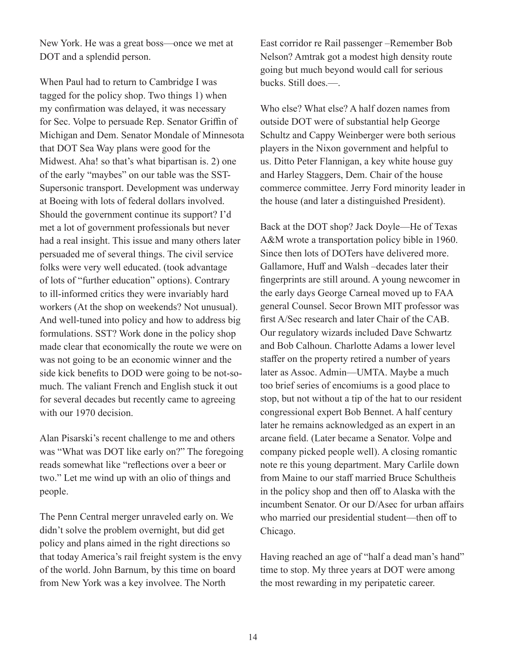New York. He was a great boss—once we met at DOT and a splendid person.

When Paul had to return to Cambridge I was tagged for the policy shop. Two things 1) when my confirmation was delayed, it was necessary for Sec. Volpe to persuade Rep. Senator Griffin of Michigan and Dem. Senator Mondale of Minnesota that DOT Sea Way plans were good for the Midwest. Aha! so that's what bipartisan is. 2) one of the early "maybes" on our table was the SST-Supersonic transport. Development was underway at Boeing with lots of federal dollars involved. Should the government continue its support? I'd met a lot of government professionals but never had a real insight. This issue and many others later persuaded me of several things. The civil service folks were very well educated. (took advantage of lots of "further education" options). Contrary to ill-informed critics they were invariably hard workers (At the shop on weekends? Not unusual). And well-tuned into policy and how to address big formulations. SST? Work done in the policy shop made clear that economically the route we were on was not going to be an economic winner and the side kick benefits to DOD were going to be not-somuch. The valiant French and English stuck it out for several decades but recently came to agreeing with our 1970 decision.

Alan Pisarski's recent challenge to me and others was "What was DOT like early on?" The foregoing reads somewhat like "reflections over a beer or two." Let me wind up with an olio of things and people.

The Penn Central merger unraveled early on. We didn't solve the problem overnight, but did get policy and plans aimed in the right directions so that today America's rail freight system is the envy of the world. John Barnum, by this time on board from New York was a key involvee. The North

East corridor re Rail passenger –Remember Bob Nelson? Amtrak got a modest high density route going but much beyond would call for serious bucks. Still does.—.

Who else? What else? A half dozen names from outside DOT were of substantial help George Schultz and Cappy Weinberger were both serious players in the Nixon government and helpful to us. Ditto Peter Flannigan, a key white house guy and Harley Staggers, Dem. Chair of the house commerce committee. Jerry Ford minority leader in the house (and later a distinguished President).

Back at the DOT shop? Jack Doyle—He of Texas A&M wrote a transportation policy bible in 1960. Since then lots of DOTers have delivered more. Gallamore, Huff and Walsh –decades later their fingerprints are still around. A young newcomer in the early days George Carneal moved up to FAA general Counsel. Secor Brown MIT professor was first A/Sec research and later Chair of the CAB. Our regulatory wizards included Dave Schwartz and Bob Calhoun. Charlotte Adams a lower level staffer on the property retired a number of years later as Assoc. Admin—UMTA. Maybe a much too brief series of encomiums is a good place to stop, but not without a tip of the hat to our resident congressional expert Bob Bennet. A half century later he remains acknowledged as an expert in an arcane field. (Later became a Senator. Volpe and company picked people well). A closing romantic note re this young department. Mary Carlile down from Maine to our staff married Bruce Schultheis in the policy shop and then off to Alaska with the incumbent Senator. Or our D/Asec for urban affairs who married our presidential student—then off to Chicago.

Having reached an age of "half a dead man's hand" time to stop. My three years at DOT were among the most rewarding in my peripatetic career.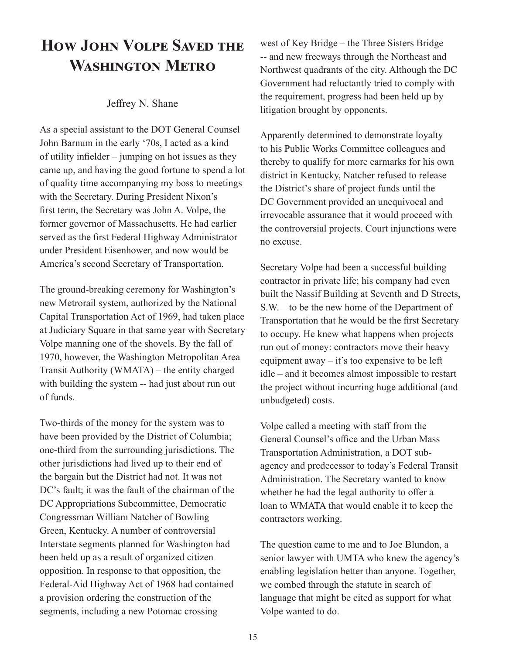## **How John Volpe Saved the Washington Metro**

#### Jeffrey N. Shane

As a special assistant to the DOT General Counsel John Barnum in the early '70s, I acted as a kind of utility infielder – jumping on hot issues as they came up, and having the good fortune to spend a lot of quality time accompanying my boss to meetings with the Secretary. During President Nixon's first term, the Secretary was John A. Volpe, the former governor of Massachusetts. He had earlier served as the first Federal Highway Administrator under President Eisenhower, and now would be America's second Secretary of Transportation.

The ground-breaking ceremony for Washington's new Metrorail system, authorized by the National Capital Transportation Act of 1969, had taken place at Judiciary Square in that same year with Secretary Volpe manning one of the shovels. By the fall of 1970, however, the Washington Metropolitan Area Transit Authority (WMATA) – the entity charged with building the system -- had just about run out of funds.

Two-thirds of the money for the system was to have been provided by the District of Columbia; one-third from the surrounding jurisdictions. The other jurisdictions had lived up to their end of the bargain but the District had not. It was not DC's fault; it was the fault of the chairman of the DC Appropriations Subcommittee, Democratic Congressman William Natcher of Bowling Green, Kentucky. A number of controversial Interstate segments planned for Washington had been held up as a result of organized citizen opposition. In response to that opposition, the Federal-Aid Highway Act of 1968 had contained a provision ordering the construction of the segments, including a new Potomac crossing

west of Key Bridge – the Three Sisters Bridge -- and new freeways through the Northeast and Northwest quadrants of the city. Although the DC Government had reluctantly tried to comply with the requirement, progress had been held up by litigation brought by opponents.

Apparently determined to demonstrate loyalty to his Public Works Committee colleagues and thereby to qualify for more earmarks for his own district in Kentucky, Natcher refused to release the District's share of project funds until the DC Government provided an unequivocal and irrevocable assurance that it would proceed with the controversial projects. Court injunctions were no excuse.

Secretary Volpe had been a successful building contractor in private life; his company had even built the Nassif Building at Seventh and D Streets, S.W. – to be the new home of the Department of Transportation that he would be the first Secretary to occupy. He knew what happens when projects run out of money: contractors move their heavy equipment away – it's too expensive to be left idle – and it becomes almost impossible to restart the project without incurring huge additional (and unbudgeted) costs.

Volpe called a meeting with staff from the General Counsel's office and the Urban Mass Transportation Administration, a DOT subagency and predecessor to today's Federal Transit Administration. The Secretary wanted to know whether he had the legal authority to offer a loan to WMATA that would enable it to keep the contractors working.

The question came to me and to Joe Blundon, a senior lawyer with UMTA who knew the agency's enabling legislation better than anyone. Together, we combed through the statute in search of language that might be cited as support for what Volpe wanted to do.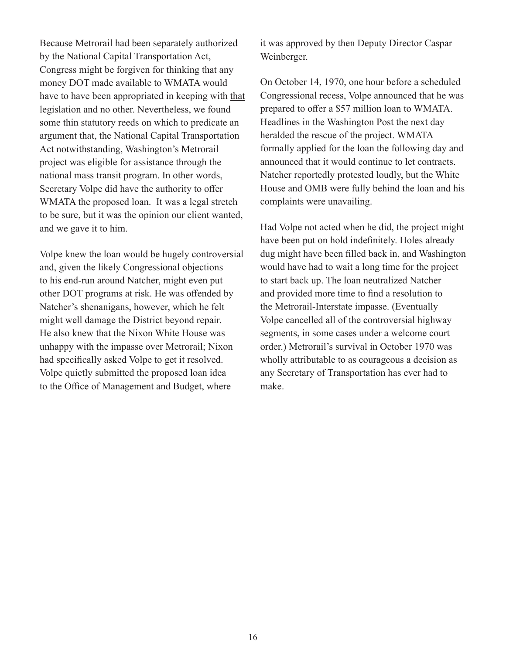Because Metrorail had been separately authorized by the National Capital Transportation Act, Congress might be forgiven for thinking that any money DOT made available to WMATA would have to have been appropriated in keeping with that legislation and no other. Nevertheless, we found some thin statutory reeds on which to predicate an argument that, the National Capital Transportation Act notwithstanding, Washington's Metrorail project was eligible for assistance through the national mass transit program. In other words, Secretary Volpe did have the authority to offer WMATA the proposed loan. It was a legal stretch to be sure, but it was the opinion our client wanted, and we gave it to him.

Volpe knew the loan would be hugely controversial and, given the likely Congressional objections to his end-run around Natcher, might even put other DOT programs at risk. He was offended by Natcher's shenanigans, however, which he felt might well damage the District beyond repair. He also knew that the Nixon White House was unhappy with the impasse over Metrorail; Nixon had specifically asked Volpe to get it resolved. Volpe quietly submitted the proposed loan idea to the Office of Management and Budget, where

it was approved by then Deputy Director Caspar Weinberger.

On October 14, 1970, one hour before a scheduled Congressional recess, Volpe announced that he was prepared to offer a \$57 million loan to WMATA. Headlines in the Washington Post the next day heralded the rescue of the project. WMATA formally applied for the loan the following day and announced that it would continue to let contracts. Natcher reportedly protested loudly, but the White House and OMB were fully behind the loan and his complaints were unavailing.

Had Volpe not acted when he did, the project might have been put on hold indefinitely. Holes already dug might have been filled back in, and Washington would have had to wait a long time for the project to start back up. The loan neutralized Natcher and provided more time to find a resolution to the Metrorail-Interstate impasse. (Eventually Volpe cancelled all of the controversial highway segments, in some cases under a welcome court order.) Metrorail's survival in October 1970 was wholly attributable to as courageous a decision as any Secretary of Transportation has ever had to make.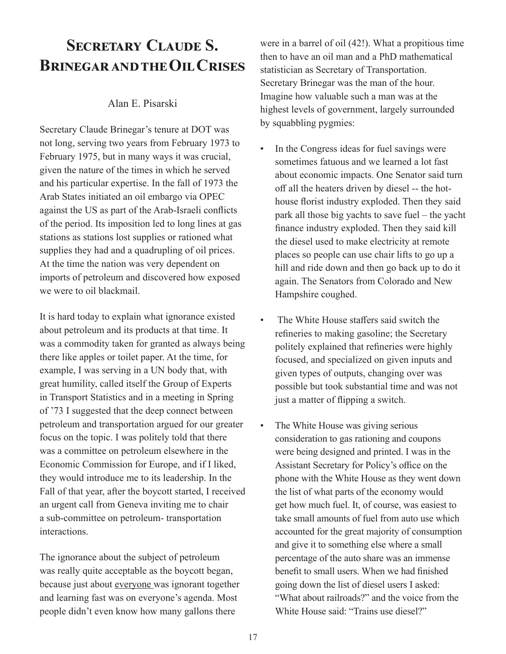## **Secretary Claude S. Brinegar and the Oil Crises**

#### Alan E. Pisarski

Secretary Claude Brinegar's tenure at DOT was not long, serving two years from February 1973 to February 1975, but in many ways it was crucial, given the nature of the times in which he served and his particular expertise. In the fall of 1973 the Arab States initiated an oil embargo via OPEC against the US as part of the Arab-Israeli conflicts of the period. Its imposition led to long lines at gas stations as stations lost supplies or rationed what supplies they had and a quadrupling of oil prices. At the time the nation was very dependent on imports of petroleum and discovered how exposed we were to oil blackmail.

It is hard today to explain what ignorance existed about petroleum and its products at that time. It was a commodity taken for granted as always being there like apples or toilet paper. At the time, for example, I was serving in a UN body that, with great humility, called itself the Group of Experts in Transport Statistics and in a meeting in Spring of '73 I suggested that the deep connect between petroleum and transportation argued for our greater focus on the topic. I was politely told that there was a committee on petroleum elsewhere in the Economic Commission for Europe, and if I liked, they would introduce me to its leadership. In the Fall of that year, after the boycott started, I received an urgent call from Geneva inviting me to chair a sub-committee on petroleum- transportation interactions.

The ignorance about the subject of petroleum was really quite acceptable as the boycott began, because just about everyone was ignorant together and learning fast was on everyone's agenda. Most people didn't even know how many gallons there

were in a barrel of oil (42!). What a propitious time then to have an oil man and a PhD mathematical statistician as Secretary of Transportation. Secretary Brinegar was the man of the hour. Imagine how valuable such a man was at the highest levels of government, largely surrounded by squabbling pygmies:

- In the Congress ideas for fuel savings were sometimes fatuous and we learned a lot fast about economic impacts. One Senator said turn off all the heaters driven by diesel -- the hothouse florist industry exploded. Then they said park all those big yachts to save fuel – the yacht finance industry exploded. Then they said kill the diesel used to make electricity at remote places so people can use chair lifts to go up a hill and ride down and then go back up to do it again. The Senators from Colorado and New Hampshire coughed.
- The White House staffers said switch the refineries to making gasoline; the Secretary politely explained that refineries were highly focused, and specialized on given inputs and given types of outputs, changing over was possible but took substantial time and was not just a matter of flipping a switch.
- The White House was giving serious consideration to gas rationing and coupons were being designed and printed. I was in the Assistant Secretary for Policy's office on the phone with the White House as they went down the list of what parts of the economy would get how much fuel. It, of course, was easiest to take small amounts of fuel from auto use which accounted for the great majority of consumption and give it to something else where a small percentage of the auto share was an immense benefit to small users. When we had finished going down the list of diesel users I asked: "What about railroads?" and the voice from the White House said: "Trains use diesel?"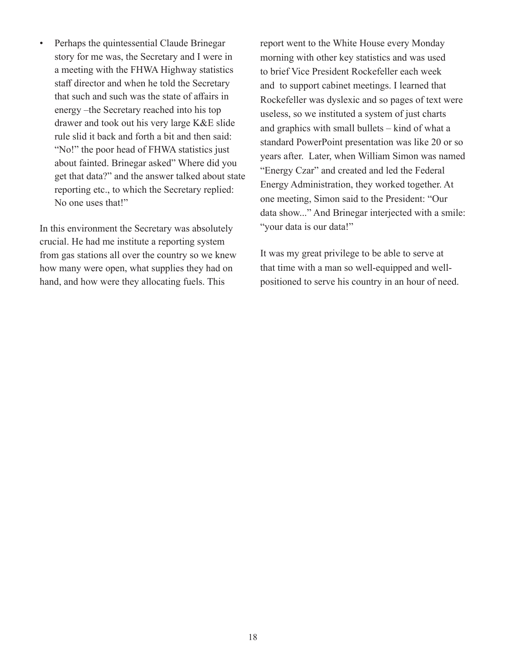• Perhaps the quintessential Claude Brinegar story for me was, the Secretary and I were in a meeting with the FHWA Highway statistics staff director and when he told the Secretary that such and such was the state of affairs in energy –the Secretary reached into his top drawer and took out his very large K&E slide rule slid it back and forth a bit and then said: "No!" the poor head of FHWA statistics just about fainted. Brinegar asked" Where did you get that data?" and the answer talked about state reporting etc., to which the Secretary replied: No one uses that!"

In this environment the Secretary was absolutely crucial. He had me institute a reporting system from gas stations all over the country so we knew how many were open, what supplies they had on hand, and how were they allocating fuels. This

report went to the White House every Monday morning with other key statistics and was used to brief Vice President Rockefeller each week and to support cabinet meetings. I learned that Rockefeller was dyslexic and so pages of text were useless, so we instituted a system of just charts and graphics with small bullets – kind of what a standard PowerPoint presentation was like 20 or so years after. Later, when William Simon was named "Energy Czar" and created and led the Federal Energy Administration, they worked together. At one meeting, Simon said to the President: "Our data show..." And Brinegar interjected with a smile: "your data is our data!"

It was my great privilege to be able to serve at that time with a man so well-equipped and wellpositioned to serve his country in an hour of need.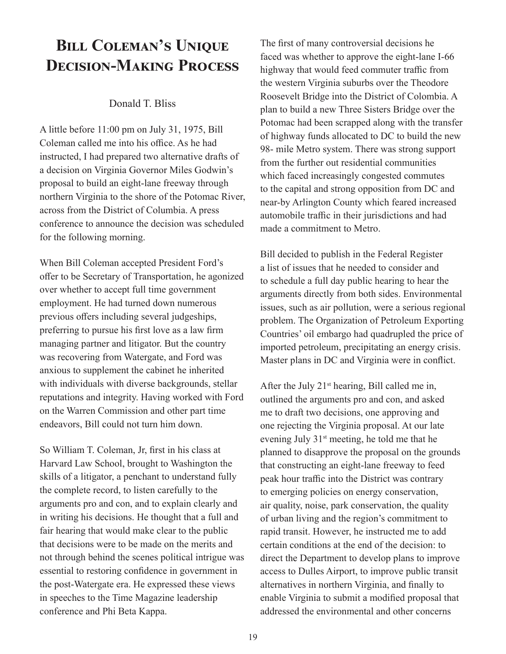## **Bill Coleman's Unique Decision-Making Process**

#### Donald T. Bliss

A little before 11:00 pm on July 31, 1975, Bill Coleman called me into his office. As he had instructed, I had prepared two alternative drafts of a decision on Virginia Governor Miles Godwin's proposal to build an eight-lane freeway through northern Virginia to the shore of the Potomac River, across from the District of Columbia. A press conference to announce the decision was scheduled for the following morning.

When Bill Coleman accepted President Ford's offer to be Secretary of Transportation, he agonized over whether to accept full time government employment. He had turned down numerous previous offers including several judgeships, preferring to pursue his first love as a law firm managing partner and litigator. But the country was recovering from Watergate, and Ford was anxious to supplement the cabinet he inherited with individuals with diverse backgrounds, stellar reputations and integrity. Having worked with Ford on the Warren Commission and other part time endeavors, Bill could not turn him down.

So William T. Coleman, Jr, first in his class at Harvard Law School, brought to Washington the skills of a litigator, a penchant to understand fully the complete record, to listen carefully to the arguments pro and con, and to explain clearly and in writing his decisions. He thought that a full and fair hearing that would make clear to the public that decisions were to be made on the merits and not through behind the scenes political intrigue was essential to restoring confidence in government in the post-Watergate era. He expressed these views in speeches to the Time Magazine leadership conference and Phi Beta Kappa.

The first of many controversial decisions he faced was whether to approve the eight-lane I-66 highway that would feed commuter traffic from the western Virginia suburbs over the Theodore Roosevelt Bridge into the District of Colombia. A plan to build a new Three Sisters Bridge over the Potomac had been scrapped along with the transfer of highway funds allocated to DC to build the new 98- mile Metro system. There was strong support from the further out residential communities which faced increasingly congested commutes to the capital and strong opposition from DC and near-by Arlington County which feared increased automobile traffic in their jurisdictions and had made a commitment to Metro.

Bill decided to publish in the Federal Register a list of issues that he needed to consider and to schedule a full day public hearing to hear the arguments directly from both sides. Environmental issues, such as air pollution, were a serious regional problem. The Organization of Petroleum Exporting Countries' oil embargo had quadrupled the price of imported petroleum, precipitating an energy crisis. Master plans in DC and Virginia were in conflict.

After the July  $21<sup>st</sup>$  hearing, Bill called me in, outlined the arguments pro and con, and asked me to draft two decisions, one approving and one rejecting the Virginia proposal. At our late evening July 31st meeting, he told me that he planned to disapprove the proposal on the grounds that constructing an eight-lane freeway to feed peak hour traffic into the District was contrary to emerging policies on energy conservation, air quality, noise, park conservation, the quality of urban living and the region's commitment to rapid transit. However, he instructed me to add certain conditions at the end of the decision: to direct the Department to develop plans to improve access to Dulles Airport, to improve public transit alternatives in northern Virginia, and finally to enable Virginia to submit a modified proposal that addressed the environmental and other concerns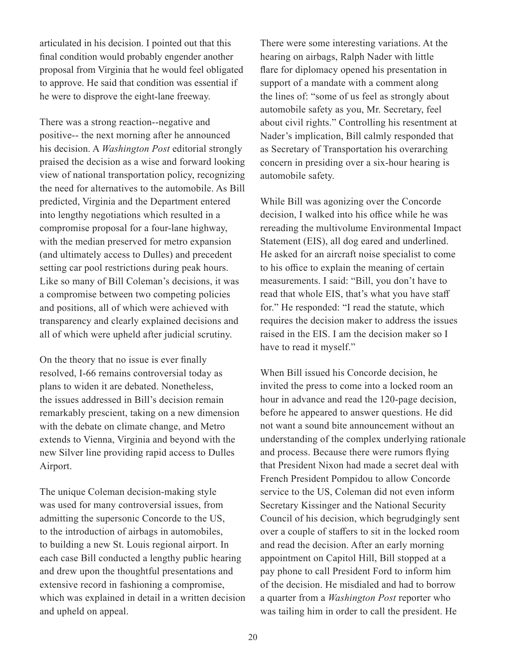articulated in his decision. I pointed out that this final condition would probably engender another proposal from Virginia that he would feel obligated to approve. He said that condition was essential if he were to disprove the eight-lane freeway.

There was a strong reaction--negative and positive-- the next morning after he announced his decision. A *Washington Post* editorial strongly praised the decision as a wise and forward looking view of national transportation policy, recognizing the need for alternatives to the automobile. As Bill predicted, Virginia and the Department entered into lengthy negotiations which resulted in a compromise proposal for a four-lane highway, with the median preserved for metro expansion (and ultimately access to Dulles) and precedent setting car pool restrictions during peak hours. Like so many of Bill Coleman's decisions, it was a compromise between two competing policies and positions, all of which were achieved with transparency and clearly explained decisions and all of which were upheld after judicial scrutiny.

On the theory that no issue is ever finally resolved, I-66 remains controversial today as plans to widen it are debated. Nonetheless, the issues addressed in Bill's decision remain remarkably prescient, taking on a new dimension with the debate on climate change, and Metro extends to Vienna, Virginia and beyond with the new Silver line providing rapid access to Dulles Airport.

The unique Coleman decision-making style was used for many controversial issues, from admitting the supersonic Concorde to the US, to the introduction of airbags in automobiles, to building a new St. Louis regional airport. In each case Bill conducted a lengthy public hearing and drew upon the thoughtful presentations and extensive record in fashioning a compromise, which was explained in detail in a written decision and upheld on appeal.

There were some interesting variations. At the hearing on airbags, Ralph Nader with little flare for diplomacy opened his presentation in support of a mandate with a comment along the lines of: "some of us feel as strongly about automobile safety as you, Mr. Secretary, feel about civil rights." Controlling his resentment at Nader's implication, Bill calmly responded that as Secretary of Transportation his overarching concern in presiding over a six-hour hearing is automobile safety.

While Bill was agonizing over the Concorde decision, I walked into his office while he was rereading the multivolume Environmental Impact Statement (EIS), all dog eared and underlined. He asked for an aircraft noise specialist to come to his office to explain the meaning of certain measurements. I said: "Bill, you don't have to read that whole EIS, that's what you have staff for." He responded: "I read the statute, which requires the decision maker to address the issues raised in the EIS. I am the decision maker so I have to read it myself."

When Bill issued his Concorde decision, he invited the press to come into a locked room an hour in advance and read the 120-page decision, before he appeared to answer questions. He did not want a sound bite announcement without an understanding of the complex underlying rationale and process. Because there were rumors flying that President Nixon had made a secret deal with French President Pompidou to allow Concorde service to the US, Coleman did not even inform Secretary Kissinger and the National Security Council of his decision, which begrudgingly sent over a couple of staffers to sit in the locked room and read the decision. After an early morning appointment on Capitol Hill, Bill stopped at a pay phone to call President Ford to inform him of the decision. He misdialed and had to borrow a quarter from a *Washington Post* reporter who was tailing him in order to call the president. He